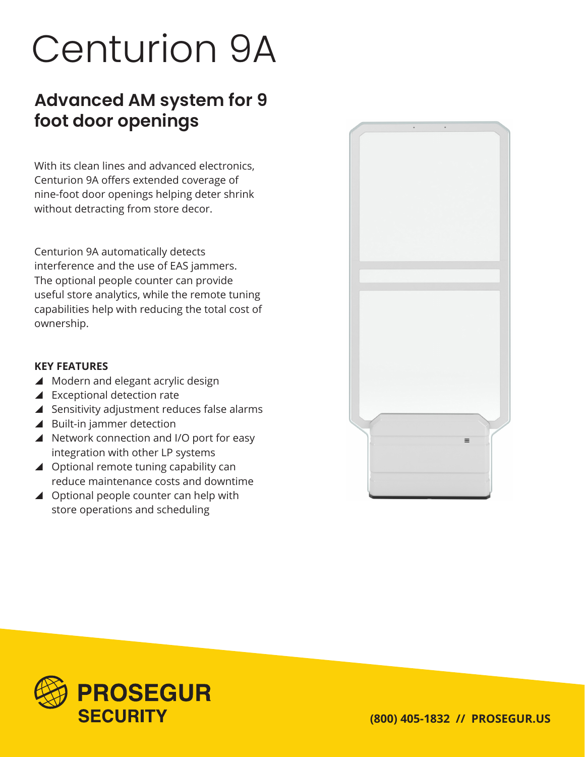# Centurion 9A

## **Advanced AM system for 9 foot door openings**

With its clean lines and advanced electronics, Centurion 9A offers extended coverage of nine-foot door openings helping deter shrink without detracting from store decor.

Centurion 9A automatically detects interference and the use of EAS jammers. The optional people counter can provide useful store analytics, while the remote tuning capabilities help with reducing the total cost of ownership.

#### **KEY FEATURES**

- $\blacktriangle$  Modern and elegant acrylic design
- $\blacktriangle$  Exceptional detection rate
- $\blacktriangle$  Sensitivity adjustment reduces false alarms
- $\blacktriangle$  Built-in jammer detection
- ▲ Network connection and I/O port for easy integration with other LP systems
- ▲ Optional remote tuning capability can reduce maintenance costs and downtime
- $\triangle$  Optional people counter can help with store operations and scheduling